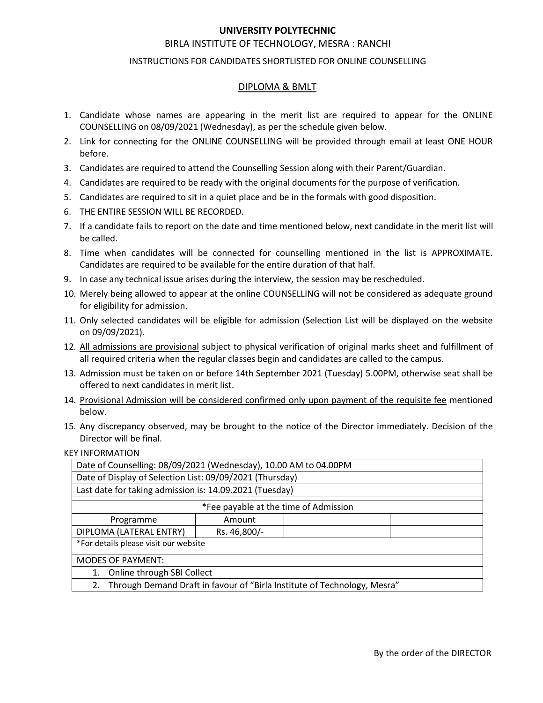# UNIVERSITY POLYTECHNIC<br>UTE OF TECHNOLOGY, MESRA : RANCHI<br>NDIDATES SHORTLISTED FOR ONLINE COUNSELLING<br>DIPLOMA & BMLT UNIVERSITY POLYTECHNIC<br>BIRLA INSTITUTE OF TECHNOLOGY, MESRA : RANCHI<br>TIONS FOR CANDIDATES SHORTLISTED FOR ONLINE COUNSELLING<br>DIPLOMA & BMLT

- **UNIVERSITY POLYTECHNIC**<br>
BIRLA INSTITUTE OF TECHNOLOGY, MESRA : RANCHI<br>
INSTRUCTIONS FOR CANDIDATES SHORTLISTED FOR ONLINE COUNSELLING<br>
<u>DIPLOMA & BMLT</u><br>
whose names are appearing in the merit list are required to appear VERSITY POLYTECHNIC<br>OF TECHNOLOGY, MESRA : RANCHI<br>DATES SHORTLISTED FOR ONLINE COUNSELLING<br>DIPLOMA & BMLT<br>Ing in the merit list are required to appear for the ONLINE<br>day), as per the schedule given below.<br>UNSELLING will be **1.** Candidate whose names are appearing in the merit list are required to appear for the ONLINE<br>
1. Candidate whose names are appearing in the merit list are required to appear for the ONLINE<br>
COUNSELLING on 08/09/2021 (W UNIVERSITY POLYTECHNIC<br>
BIRLA INSTITUTE OF TECHNOLOGY, MESRA : RANCHI<br>
INSTRUCTIONS FOR CANDIDATES SHORTLISTED FOR ONLINE COUNSELLING<br>
Candidate whose names are appearing in the merit list are required to appear for the ON **EXECUTE SECUTE CONTRIGUAL FOR A SEARCH SECUTE OF TECHNOLOGY, MESRA: RANCHI<br>
INSTRUCTIONS FOR CANDIDATES SHORTLISTED FOR ONLINE COUNSELLING<br>
<u>DIPLOMA & BMLT</u><br>
2. Link for connecting for the ONLINE COUNSELLING will be provi** 3. Candidate whose names are appearing in the merit list are required to appear for the ONLINE<br>3. Candidate whose names are appearing in the merit list are required to appear for the ONLINE<br>3. Candidate whose names are app UNIVERSITY POLYTECHNIC<br>
BIRLA INSTITUTE OF TECHNOLOGY, MESRA : RANCHI<br>
INSTRUCTIONS FOR CANDIDATES SHORTLISTED FOR ONLINE COUNSELLING<br>
COUNSELLING on 08/09/2021 (Wednesday), as per the schedule given below.<br>
2. Link for co **EXECTS ARE CONDEND THE SECTS ARE THE CHANDLOGY, MESRA: RANCHI<br>
INSTRUCTIONS FOR CANDIDATES SHORTLISTED FOR ONLINE COUNSELLING<br>
DIPLOMA & BMLT<br>
1. Candidate whose names are appearing in the merit list are required to appea EXERCTS AND MUNIMERATY POLYTECHNIC**<br> **EXERCTIONS FOR CANDIDATES SHORTLISTED FOR ONLINE COUNSELLING**<br> **EXERCTIONS FOR CANDIDATES SHORTLISTED FOR ONLINE COUNSELLING**<br> **EXERCTS**<br> **EXERCTS**<br> **EXERCTS**<br> **EXERCTS**<br> **EXERCTS**<br> **EXECTS TO POLYTECHNIC**<br>
BIRLA INSTITUTE OF TECHNOLOGY, MESRA : RANCHI<br>
INSTRUCTIONS FOR CANDIDATES SHORTLISTED FOR ONLINE COUNSELLING<br>
2. Link for connecting for the ONLINE COUNSELLING on 08/09/2021 (Wednesday), as per th **UNIVERSITY POLYTECHNIC**<br>
BIRLA INSTITUTE OF TECHNOLOGY, MESRA : RANC<br>
INSTRUCTIONS FOR CANDIDATES SHORTLISTED FOR ONLINE CO<br>
<u>DIPLOMA & BMLT</u><br>
Candidate whose names are appearing in the merit list are required<br>
cCOUNSELLI BIRLA INSTITUTE OF TECHNOLOGY, MESRA : RANCHI<br>
INSTRUCTIONS FOR CANDIDATES SHORTLISTED FOR ONLINE COUNSELLING<br>
COUNSELLING<br>
COUNSELLING TO 00 8/09/2021 (Wednesday), as per the schedule given below.<br>
2. Link for connecting BIRLA INSTITUTE OF TECHNOLOGY, MESRA : RANCHI<br>INSTRUCTIONS FOR CANDIDATES SHORTLISTED FOR ONLINE COUNSELLING<br>
<u>DIPLOMA & BMLT</u><br>
Candidate whose names are appearing in the merit list are required to appear for the ONLINE<br>
C INSTRUCTIONS FOR CANDIDATES SHORTLISTED FOR ONLINE COUNSELLING<br>
9. <u>DIPLOMA & BMLT</u><br>
2. Candidate whose names are appearing in the merit list are required to appear for the ONLINE<br>
cOUNSELLING on 08/09/2021 (Wednesday), as **EXECT 20. MERE 10.** Candidate whose names are appearing in the merit list are required to appear for the ONLINE<br>
COUNSELLING on 08/09/2021 (Wednesday), as per the schedule given below.<br>
2. Link for connecting for the ONL **EXECTS CONTENT CONTENT CONTENT CONTENT CONTENT CONTENT CONTENT CONTENT CONTENT CONTENT CONTENT CONTENT CONTENT CONTENT (FOR ADMISSION AND A SHOW THAT AND A SHOW CONTENT CONTENT CONTENT CONTENT UP (SOFTC FOR CONTENT CONTEN** 1. Candidate whose names are appearing in the merit list are required to appear for the ONLINE COUNSELLING on 08/09/2021 (Wednesday), as per the schedule given below.<br>
2. Link for connecting for the ONLINE COUNSELLING will Candidate whose names are appearing in the merit list are required that<br>COUNSELLING on 08/09/2021 (Wednesday), as per the schedule given below<br>Link for connecting for the ONLINE COUNSELLING will be provided through<br>before.
- before.
- 
- 
- 
- 
- 
- 
- 
- 
- 
- COUNSELLING on 08/09/2021 (Wednesday), as per the schedule given below.<br>
2. Link for connecting for the ONLINE COUNSELLING will be provided through email at least ONE HOUR<br>
3. Candidates are required to attend the Counsell Link for connecting for the ONLINE COUNSELLING will be provided through email at least ONE HOUR<br>Defore.<br>Candidates are required to attend the Counselling Session along with their Parent/Guardian.<br>Candidates are required to before.<br>
4. Candidates are required to attend the Counselling Session along with their Parent/Guardian.<br>
4. Candidates are required to be ready with the original documents for the purpose of verification.<br>
5. Candidates a Candidates are required to attend the Counselling Session along with their Parent/Guardian.<br>Candidates are required to be ready with the original documents for the purpose of verification.<br>Candidates are required to be rea 4. Candidates are required to be ready with the original documents for the purpose of verification.<br>
5. Candidates are required to sti in a quich place and be in the formals with good disposition.<br>
6. THE ENTIRE SESSION WI
- 
- below.
- 

| 6. THE ENTIRE SESSION WILL BE RECORDED.                                                                                                                                                                         |  |
|-----------------------------------------------------------------------------------------------------------------------------------------------------------------------------------------------------------------|--|
| 7. If a candidate fails to report on the date and time mentioned below, next candidate in the merit list will<br>be called.                                                                                     |  |
| 8. Time when candidates will be connected for counselling mentioned in the list is APPROXIMATE.<br>Candidates are required to be available for the entire duration of that half.                                |  |
| 9. In case any technical issue arises during the interview, the session may be rescheduled.                                                                                                                     |  |
| 10. Merely being allowed to appear at the online COUNSELLING will not be considered as adequate ground<br>for eligibility for admission.                                                                        |  |
| 11. Only selected candidates will be eligible for admission (Selection List will be displayed on the website<br>on 09/09/2021).                                                                                 |  |
| 12. All admissions are provisional subject to physical verification of original marks sheet and fulfillment of<br>all required criteria when the regular classes begin and candidates are called to the campus. |  |
| 13. Admission must be taken on or before 14th September 2021 (Tuesday) 5.00PM, otherwise seat shall be<br>offered to next candidates in merit list.                                                             |  |
| 14. Provisional Admission will be considered confirmed only upon payment of the requisite fee mentioned<br>below.                                                                                               |  |
| 15. Any discrepancy observed, may be brought to the notice of the Director immediately. Decision of the<br>Director will be final.                                                                              |  |
| <b>KEY INFORMATION</b>                                                                                                                                                                                          |  |
| Date of Counselling: 08/09/2021 (Wednesday), 10.00 AM to 04.00PM                                                                                                                                                |  |
| Date of Display of Selection List: 09/09/2021 (Thursday)                                                                                                                                                        |  |
| Last date for taking admission is: 14.09.2021 (Tuesday)                                                                                                                                                         |  |
| *Fee payable at the time of Admission                                                                                                                                                                           |  |
| Programme<br>Amount                                                                                                                                                                                             |  |
| DIPLOMA (LATERAL ENTRY)<br>Rs. 46,800/-<br>*For details please visit our website                                                                                                                                |  |
| <b>MODES OF PAYMENT:</b>                                                                                                                                                                                        |  |
| 1. Online through SBI Collect                                                                                                                                                                                   |  |
| 2. Through Demand Draft in favour of "Birla Institute of Technology, Mesra"                                                                                                                                     |  |
|                                                                                                                                                                                                                 |  |
|                                                                                                                                                                                                                 |  |
|                                                                                                                                                                                                                 |  |
|                                                                                                                                                                                                                 |  |
| By the order of the DIRECTOR                                                                                                                                                                                    |  |
|                                                                                                                                                                                                                 |  |
|                                                                                                                                                                                                                 |  |
|                                                                                                                                                                                                                 |  |